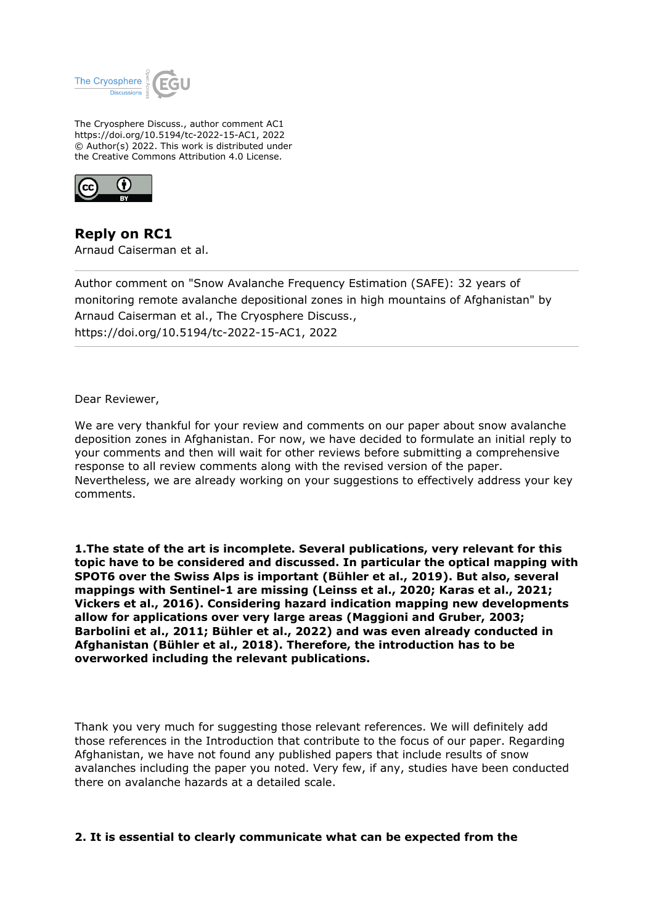

The Cryosphere Discuss., author comment AC1 https://doi.org/10.5194/tc-2022-15-AC1, 2022 © Author(s) 2022. This work is distributed under the Creative Commons Attribution 4.0 License.



**Reply on RC1** Arnaud Caiserman et al.

Author comment on "Snow Avalanche Frequency Estimation (SAFE): 32 years of monitoring remote avalanche depositional zones in high mountains of Afghanistan" by Arnaud Caiserman et al., The Cryosphere Discuss., https://doi.org/10.5194/tc-2022-15-AC1, 2022

Dear Reviewer,

We are very thankful for your review and comments on our paper about snow avalanche deposition zones in Afghanistan. For now, we have decided to formulate an initial reply to your comments and then will wait for other reviews before submitting a comprehensive response to all review comments along with the revised version of the paper. Nevertheless, we are already working on your suggestions to effectively address your key comments.

**1.The state of the art is incomplete. Several publications, very relevant for this topic have to be considered and discussed. In particular the optical mapping with SPOT6 over the Swiss Alps is important (Bühler et al., 2019). But also, several mappings with Sentinel-1 are missing (Leinss et al., 2020; Karas et al., 2021; Vickers et al., 2016). Considering hazard indication mapping new developments allow for applications over very large areas (Maggioni and Gruber, 2003; Barbolini et al., 2011; Bühler et al., 2022) and was even already conducted in Afghanistan (Bühler et al., 2018). Therefore, the introduction has to be overworked including the relevant publications.**

Thank you very much for suggesting those relevant references. We will definitely add those references in the Introduction that contribute to the focus of our paper. Regarding Afghanistan, we have not found any published papers that include results of snow avalanches including the paper you noted. Very few, if any, studies have been conducted there on avalanche hazards at a detailed scale.

## **2. It is essential to clearly communicate what can be expected from the**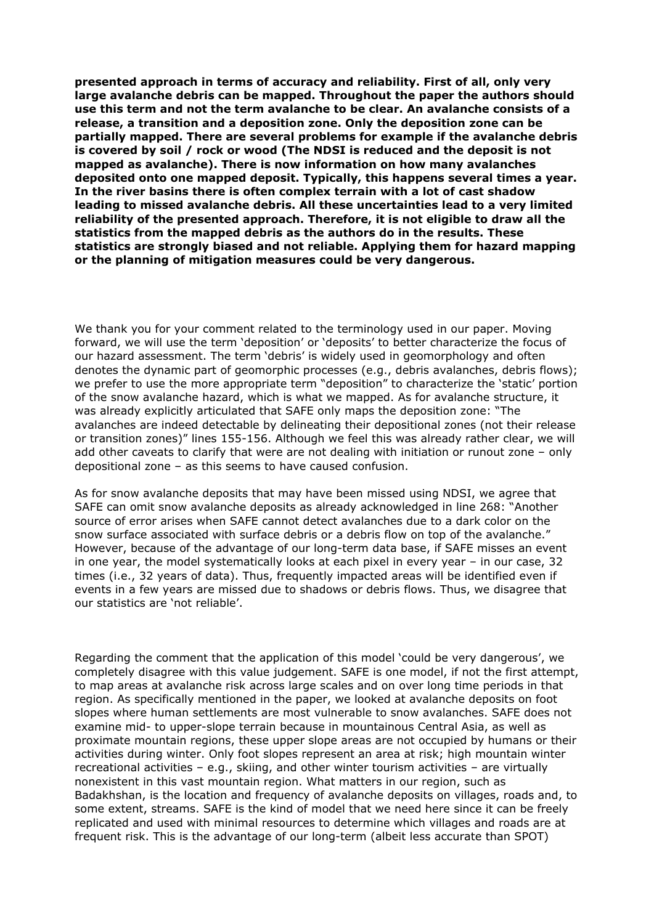**presented approach in terms of accuracy and reliability. First of all, only very large avalanche debris can be mapped. Throughout the paper the authors should use this term and not the term avalanche to be clear. An avalanche consists of a release, a transition and a deposition zone. Only the deposition zone can be partially mapped. There are several problems for example if the avalanche debris is covered by soil / rock or wood (The NDSI is reduced and the deposit is not mapped as avalanche). There is now information on how many avalanches deposited onto one mapped deposit. Typically, this happens several times a year. In the river basins there is often complex terrain with a lot of cast shadow leading to missed avalanche debris. All these uncertainties lead to a very limited reliability of the presented approach. Therefore, it is not eligible to draw all the statistics from the mapped debris as the authors do in the results. These statistics are strongly biased and not reliable. Applying them for hazard mapping or the planning of mitigation measures could be very dangerous.**

We thank you for your comment related to the terminology used in our paper. Moving forward, we will use the term 'deposition' or 'deposits' to better characterize the focus of our hazard assessment. The term 'debris' is widely used in geomorphology and often denotes the dynamic part of geomorphic processes (e.g., debris avalanches, debris flows); we prefer to use the more appropriate term "deposition" to characterize the 'static' portion of the snow avalanche hazard, which is what we mapped. As for avalanche structure, it was already explicitly articulated that SAFE only maps the deposition zone: "The avalanches are indeed detectable by delineating their depositional zones (not their release or transition zones)" lines 155-156. Although we feel this was already rather clear, we will add other caveats to clarify that were are not dealing with initiation or runout zone – only depositional zone – as this seems to have caused confusion.

As for snow avalanche deposits that may have been missed using NDSI, we agree that SAFE can omit snow avalanche deposits as already acknowledged in line 268: "Another source of error arises when SAFE cannot detect avalanches due to a dark color on the snow surface associated with surface debris or a debris flow on top of the avalanche." However, because of the advantage of our long-term data base, if SAFE misses an event in one year, the model systematically looks at each pixel in every year – in our case, 32 times (i.e., 32 years of data). Thus, frequently impacted areas will be identified even if events in a few years are missed due to shadows or debris flows. Thus, we disagree that our statistics are 'not reliable'.

Regarding the comment that the application of this model 'could be very dangerous', we completely disagree with this value judgement. SAFE is one model, if not the first attempt, to map areas at avalanche risk across large scales and on over long time periods in that region. As specifically mentioned in the paper, we looked at avalanche deposits on foot slopes where human settlements are most vulnerable to snow avalanches. SAFE does not examine mid- to upper-slope terrain because in mountainous Central Asia, as well as proximate mountain regions, these upper slope areas are not occupied by humans or their activities during winter. Only foot slopes represent an area at risk; high mountain winter recreational activities – e.g., skiing, and other winter tourism activities – are virtually nonexistent in this vast mountain region. What matters in our region, such as Badakhshan, is the location and frequency of avalanche deposits on villages, roads and, to some extent, streams. SAFE is the kind of model that we need here since it can be freely replicated and used with minimal resources to determine which villages and roads are at frequent risk. This is the advantage of our long-term (albeit less accurate than SPOT)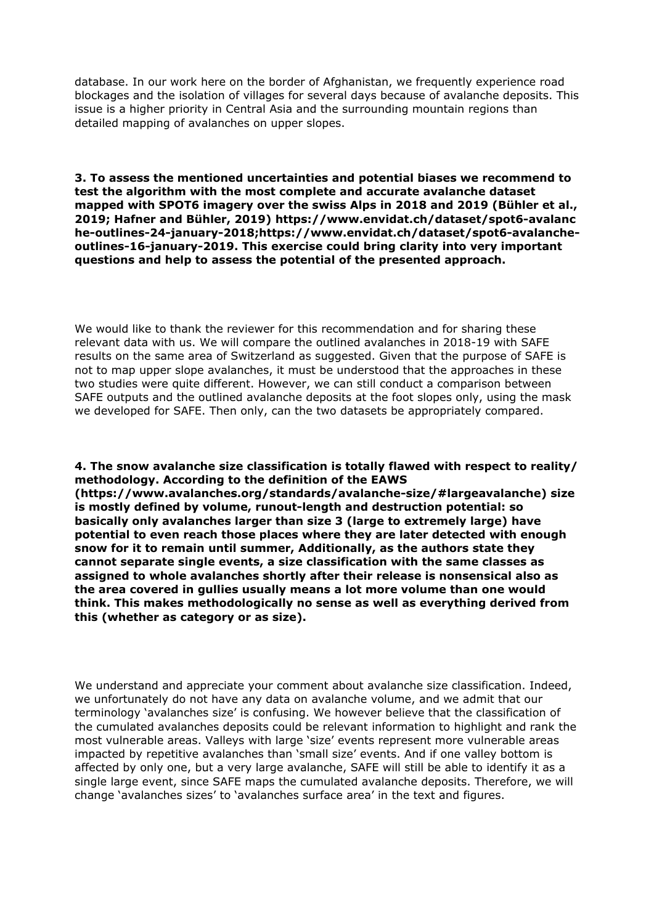database. In our work here on the border of Afghanistan, we frequently experience road blockages and the isolation of villages for several days because of avalanche deposits. This issue is a higher priority in Central Asia and the surrounding mountain regions than detailed mapping of avalanches on upper slopes.

**3. To assess the mentioned uncertainties and potential biases we recommend to test the algorithm with the most complete and accurate avalanche dataset mapped with SPOT6 imagery over the swiss Alps in 2018 and 2019 (Bühler et al., 2019; Hafner and Bühler, 2019) https://www.envidat.ch/dataset/spot6-avalanc he-outlines-24-january-2018;https://www.envidat.ch/dataset/spot6-avalancheoutlines-16-january-2019. This exercise could bring clarity into very important questions and help to assess the potential of the presented approach.**

We would like to thank the reviewer for this recommendation and for sharing these relevant data with us. We will compare the outlined avalanches in 2018-19 with SAFE results on the same area of Switzerland as suggested. Given that the purpose of SAFE is not to map upper slope avalanches, it must be understood that the approaches in these two studies were quite different. However, we can still conduct a comparison between SAFE outputs and the outlined avalanche deposits at the foot slopes only, using the mask we developed for SAFE. Then only, can the two datasets be appropriately compared.

**4. The snow avalanche size classification is totally flawed with respect to reality/ methodology. According to the definition of the EAWS (https://www.avalanches.org/standards/avalanche-size/#largeavalanche) size is mostly defined by volume, runout-length and destruction potential: so basically only avalanches larger than size 3 (large to extremely large) have potential to even reach those places where they are later detected with enough snow for it to remain until summer, Additionally, as the authors state they cannot separate single events, a size classification with the same classes as assigned to whole avalanches shortly after their release is nonsensical also as the area covered in gullies usually means a lot more volume than one would think. This makes methodologically no sense as well as everything derived from this (whether as category or as size).**

We understand and appreciate your comment about avalanche size classification. Indeed, we unfortunately do not have any data on avalanche volume, and we admit that our terminology 'avalanches size' is confusing. We however believe that the classification of the cumulated avalanches deposits could be relevant information to highlight and rank the most vulnerable areas. Valleys with large 'size' events represent more vulnerable areas impacted by repetitive avalanches than 'small size' events. And if one valley bottom is affected by only one, but a very large avalanche, SAFE will still be able to identify it as a single large event, since SAFE maps the cumulated avalanche deposits. Therefore, we will change 'avalanches sizes' to 'avalanches surface area' in the text and figures.